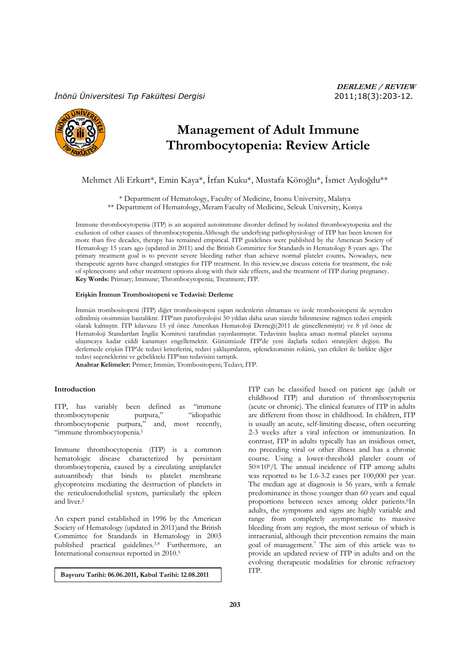# *İnönü Üniversitesi Tıp Fakültesi Dergisi* 2011;18(3):203-12.



# **Management of Adult Immune Thrombocytopenia: Review Article**

Mehmet Ali Erkurt\*, Emin Kaya\*, İrfan Kuku\*, Mustafa Köroğlu\*, İsmet Aydoğdu\*\*

\* Department of Hematology, Faculty of Medicine, Inonu University, Malatya \*\* Department of Hematology, Meram Faculty of Medicine, Selcuk University, Konya

Immune thrombocytopenia (ITP) is an acquired autoimmune disorder defined by isolated thrombocytopenia and the exclusion of other causes of thrombocytopenia.Although the underlying pathophysiology of ITP has been known for more than five decades, therapy has remained empirical. ITP guidelines were published by the American Society of Hematology 15 years ago (updated in 2011) and the British Committee for Standards in Hematology 8 years ago. The primary treatment goal is to prevent severe bleeding rather than achieve normal platelet counts**.** Nowadays, new therapeutic agents have changed strategies for ITP treatment. In this review,we discuss criteria for treatment, the role of splenectomy and other treatment options along with their side effects, and the treatment of ITP during pregnancy. **Key Words:** Primary; Immune; Thrombocytopenia; Treatment; ITP.

## **Erişkin İmmun Trombositopeni ve Tedavisi: Derleme**

İmmün trombositopeni (İTP) diğer trombositopeni yapan nedenlerin olmaması ve izole trombositopeni ile seyreden edinilmiş otoimmün hastalıktır. İTP'nın patofizyolojisi 50 yıldan daha uzun süredir bilinmesine rağmen tedavi empirik olarak kalmıştır. İTP kılavuzu 15 yıl önce Amerikan Hematoloji Derneği(2011 de güncellenmiştir) ve 8 yıl önce de Hematoloji Standartları İngiliz Komitesi tarafından yayınlanmıştır. Tedavinin başlıca amacı normal platelet sayısına ulaşıncaya kadar ciddi kanamayı engellemektir. Günümüzde İTP'de yeni ilaçlarla tedavi stratejileri değişti. Bu derlemede erişkin İTP'de tedavi kriterlerini, tedavi yaklaşımlarını, splenektominin rolünü, yan etkileri ile birlikte diğer tedavi seçeneklerini ve gebelikteki İTP'nın tedavisini tartıştık.

**Anahtar Kelimeler:** Primer; Immün; Trombositopeni; Tedavi; İTP.

#### **Introduction**

ITP, has variably been defined as "immune thrombocytopenic purpura," "idiopathic thrombocytopenic purpura," and, most recently, "immune thrombocytopenia.1

Immune thrombocytopenia (ITP) is a common hematologic disease characterized by persistant thrombocytopenia, caused by a circulating antiplatelet autoantibody that binds to platelet membrane glycoproteins mediating the destruction of platelets in the reticuloendothelial system, particularly the spleen and liver.2

An expert panel established in 1996 by the American Society of Hematology (updated in 2011)and the British Committee for Standards in Hematology in 2003 published practical guidelines.3,4 Furthermore, an International consensus reported in 2010.5

ITP. **Başvuru Tarihi: 06.06.2011, Kabul Tarihi: 12.08.2011** 

ITP can be classified based on patient age (adult or childhood ITP) and duration of thrombocytopenia (acute or chronic). The clinical features of ITP in adults are different from those in childhood. In children, ITP is usually an acute, self-limiting disease, often occurring 2-3 weeks after a viral infection or immunization. In contrast, ITP in adults typically has an insidious onset, no preceding viral or other illness and has a chronic course. Using a lower-threshold platelet count of  $50\times10^{9}/l$ . The annual incidence of ITP among adults was reported to be 1.6-3.2 cases per 100,000 per year. The median age at diagnosis is 56 years, with a female predominance in those younger than 60 years and equal proportions between sexes among older patients.<sup>6</sup>In adults, the symptoms and signs are highly variable and range from completely asymptomatic to massive bleeding from any region, the most serious of which is intracranial, although their prevention remains the main goal of management.7 The aim of this article was to provide an updated review of ITP in adults and on the evolving therapeutic modalities for chronic refractory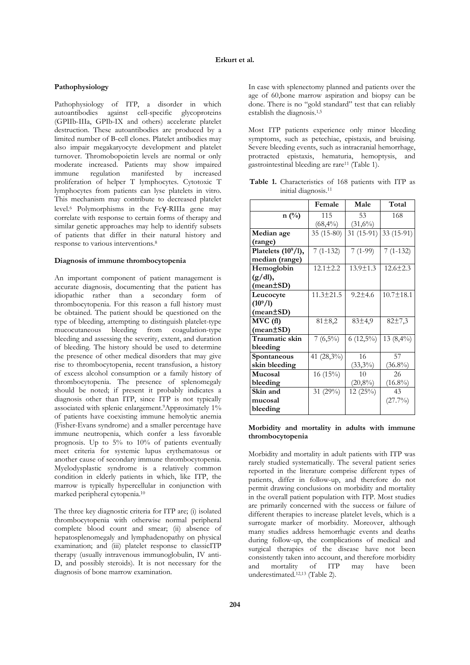# **Pathophysiology**

Pathophysiology of ITP, a disorder in which autoantibodies against cell-specific glycoproteins (GPIIb-IIIa, GPIb-IX and others) accelerate platelet destruction. These autoantibodies are produced by a limited number of B-cell clones. Platelet antibodies may also impair megakaryocyte development and platelet turnover. Thromobopoietin levels are normal or only moderate increased. Patients may show impaired immune regulation manifested by increased proliferation of helper T lymphocytes. Cytotoxic T lymphocytes from patients can lyse platelets in vitro. This mechanism may contribute to decreased platelet level.6 Polymorphisms in the Fcγ-RIIIa gene may correlate with response to certain forms of therapy and similar genetic approaches may help to identify subsets of patients that differ in their natural history and response to various interventions.8

#### **Diagnosis of immune thrombocytopenia**

An important component of patient management is accurate diagnosis, documenting that the patient has idiopathic rather than a secondary form of thrombocytopenia. For this reason a full history must be obtained. The patient should be questioned on the type of bleeding, attempting to distinguish platelet-type mucocutaneous bleeding from coagulation-type bleeding and assessing the severity, extent, and duration of bleeding. The history should be used to determine the presence of other medical disorders that may give rise to thrombocytopenia, recent transfusion, a history of excess alcohol consumption or a family history of thrombocytopenia. The presence of splenomegaly should be noted; if present it probably indicates a diagnosis other than ITP, since ITP is not typically associated with splenic enlargement.<sup>9</sup>Approximately 1% of patients have coexisting immune hemolytic anemia (Fisher-Evans syndrome) and a smaller percentage have immune neutropenia, which confer a less favorable prognosis. Up to  $5\%$  to  $10\%$  of patients eventually meet criteria for systemic lupus erythematosus or another cause of secondary immune thrombocytopenia. Myelodysplastic syndrome is a relatively common condition in elderly patients in which, like ITP, the marrow is typically hypercellular in conjunction with marked peripheral cytopenia.10

The three key diagnostic criteria for ITP are; (i) isolated thrombocytopenia with otherwise normal peripheral complete blood count and smear; (ii) absence of hepatosplenomegaly and lymphadenopathy on physical examination; and (iii) platelet response to classicITP therapy (usually intravenous immunoglobulin, IV anti-D, and possibly steroids). It is not necessary for the diagnosis of bone marrow examination.

In case with splenectomy planned and patients over the age of 60,bone marrow aspiration and biopsy can be done. There is no "gold standard" test that can reliably establish the diagnosis.1,5

Most ITP patients experience only minor bleeding symptoms, such as petechiae, epistaxis, and bruising. Severe bleeding events, such as intracranial hemorrhage, protracted epistaxis, hematuria, hemoptysis, and gastrointestinal bleeding are rare11 (Table 1).

**Table 1.** Characteristics of 168 patients with ITP as initial diagnosis.11

|                               | Female          | Male           | Total           |  |
|-------------------------------|-----------------|----------------|-----------------|--|
| $n(^{0}/_{0})$                | 115             | 53             | 168             |  |
|                               | $(68,4\%)$      | $(31,6\%)$     |                 |  |
| Median age                    | 35 (15-80)      | 31 (15-91)     | 33 (15-91)      |  |
| (range)                       |                 |                |                 |  |
| Platelets $(109/1)$ ,         | $7(1-132)$      | $7(1-99)$      | $7(1-132)$      |  |
| median (range)                |                 |                |                 |  |
| Hemoglobin                    | $12.1 \pm 2.2$  | $13.9 \pm 1.3$ | $12.6 \pm 2.3$  |  |
| $(g/dl)$ ,                    |                 |                |                 |  |
| $(\text{mean} \pm \text{SD})$ |                 |                |                 |  |
| Leucocyte                     | $11.3 \pm 21.5$ | $9.2 \pm 4.6$  | $10.7 \pm 18.1$ |  |
| $(10^9/1)$                    |                 |                |                 |  |
| $(\text{mean} \pm \text{SD})$ |                 |                |                 |  |
| $MVC$ $(f1)$                  | $81 \pm 8.2$    | 83±4,9         | 82±7,3          |  |
| $(\text{mean} \pm \text{SD})$ |                 |                |                 |  |
| Traumatic skin                | $7(6,5\%)$      | $6(12,5\%)$    | $13(8,4\%)$     |  |
| bleeding                      |                 |                |                 |  |
| Spontaneous                   | 41 (28,3%)      | 16             | 57              |  |
| skin bleeding                 |                 | $(33,3\%)$     | $(36.8\%)$      |  |
| Mucosal                       | 16(15%)         | 10             | 26              |  |
| bleeding                      |                 | $(20,8\%)$     | $(16.8\%)$      |  |
| Skin and                      | 31 (29%)        | 12(25%)        | 43              |  |
| mucosal                       |                 |                | (27.7%)         |  |
| bleeding                      |                 |                |                 |  |

# **Morbidity and mortality in adults with immune thrombocytopenia**

Morbidity and mortality in adult patients with ITP was rarely studied systematically. The several patient series reported in the literature comprise different types of patients, differ in follow-up, and therefore do not permit drawing conclusions on morbidity and mortality in the overall patient population with ITP. Most studies are primarily concerned with the success or failure of different therapies to increase platelet levels, which is a surrogate marker of morbidity. Moreover, although many studies address hemorrhagic events and deaths during follow-up, the complications of medical and surgical therapies of the disease have not been consistently taken into account, and therefore morbidity and mortality of ITP may have been underestimated.12,13 (Table 2).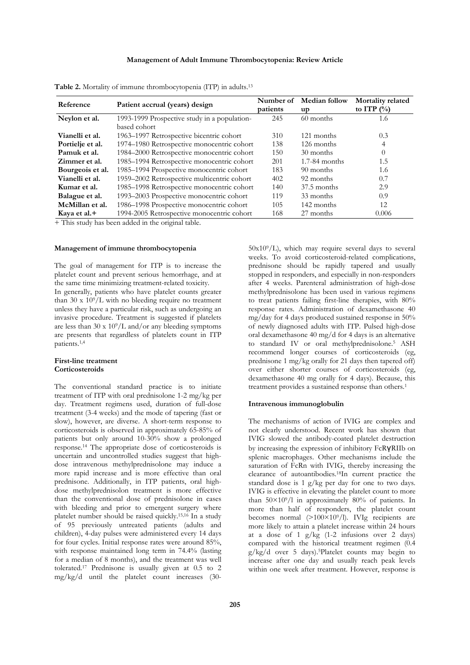# **Management of Adult Immune Thrombocytopenia: Review Article**

| Reference        | Patient accrual (years) design               | Number of<br>patients | <b>Median follow</b><br>up | Mortality related<br>to ITP $(\%$ |
|------------------|----------------------------------------------|-----------------------|----------------------------|-----------------------------------|
| Neylon et al.    | 1993-1999 Prospective study in a population- | 245                   | 60 months                  | 1.6                               |
|                  | based cohort                                 |                       |                            |                                   |
| Vianelli et al.  | 1963-1997 Retrospective bicentric cohort     | 310                   | 121 months                 | 0.3                               |
| Portielje et al. | 1974-1980 Retrospective monocentric cohort   | 138                   | 126 months                 | 4                                 |
| Pamuk et al.     | 1984-2000 Retrospective monocentric cohort   | 150                   | 30 months                  | $\Omega$                          |
| Zimmer et al.    | 1985-1994 Retrospective monocentric cohort   | 201                   | $1.7-84$ months            | 1.5                               |
| Bourgeois et al. | 1985-1994 Prospective monocentric cohort     | 183                   | 90 months                  | 1.6                               |
| Vianelli et al.  | 1959-2002 Retrospective multicentric cohort  | 402                   | 92 months                  | 0.7                               |
| Kumar et al.     | 1985-1998 Retrospective monocentric cohort   | 140                   | 37.5 months                | 2.9                               |
| Balague et al.   | 1993-2003 Prospective monocentric cohort     | 119                   | 33 months                  | 0.9                               |
| McMillan et al.  | 1986-1998 Prospective monocentric cohort     | 105                   | 142 months                 | 12                                |
| Kava et al.+     | 1994-2005 Retrospective monocentric cohort   | 168                   | 27 months                  | 0.006                             |

**Table 2.** Mortality of immune thrombocytopenia (ITP) in adults.13

+ This study has been added in the original table.

## **Management of immune thrombocytopenia**

The goal of management for ITP is to increase the platelet count and prevent serious hemorrhage, and at the same time minimizing treatment-related toxicity.

In generally, patients who have platelet counts greater than 30 x  $10^9$ /L with no bleeding require no treatment unless they have a particular risk, such as undergoing an invasive procedure. Treatment is suggested if platelets are less than 30 x  $10^9/L$  and/or any bleeding symptoms are presents that regardless of platelets count in ITP patients.1,4

## **First-line treatment Corticosteroids**

The conventional standard practice is to initiate treatment of ITP with oral prednisolone 1-2 mg/kg per day. Treatment regimens used, duration of full-dose treatment (3-4 weeks) and the mode of tapering (fast or slow), however, are diverse. A short-term response to corticosteroids is observed in approximately 65-85% of patients but only around 10-30% show a prolonged response.14 The appropriate dose of corticosteroids is uncertain and uncontrolled studies suggest that highdose intravenous methylprednisolone may induce a more rapid increase and is more effective than oral prednisone. Additionally, in ITP patients, oral highdose methylprednisolon treatment is more effective than the conventional dose of prednisolone in cases with bleeding and prior to emergent surgery where platelet number should be raised quickly.15,16 In a study of 95 previously untreated patients (adults and children), 4-day pulses were administered every 14 days for four cycles. Initial response rates were around 85%, with response maintained long term in 74.4% (lasting for a median of 8 months), and the treatment was well tolerated.17 Prednisone is usually given at 0.5 to 2 mg/kg/d until the platelet count increases (30-

 $50x10<sup>9</sup>/L$ , which may require several days to several weeks. To avoid corticosteroid-related complications, prednisone should be rapidly tapered and usually stopped in responders, and especially in non-responders after 4 weeks. Parenteral administration of high-dose methylprednisolone has been used in various regimens to treat patients failing first-line therapies, with 80% response rates. Administration of dexamethasone 40 mg/day for 4 days produced sustained response in 50% of newly diagnosed adults with ITP. Pulsed high-dose oral dexamethasone 40 mg/d for 4 days is an alternative to standard IV or oral methylprednisolone.5 ASH recommend longer courses of corticosteroids (eg, prednisone 1 mg/kg orally for 21 days then tapered off) over either shorter courses of corticosteroids (eg, dexamethasone 40 mg orally for 4 days). Because, this treatment provides a sustained response than others.1

## **Intravenous immunoglobulin**

The mechanisms of action of IVIG are complex and not clearly understood. Recent work has shown that IVIG slowed the antibody-coated platelet destruction by increasing the expression of inhibitory FcRγRIIb on splenic macrophages. Other mechanisms include the saturation of FcRn with IVIG, thereby increasing the clearance of autoantibodies.18In current practice the standard dose is 1 g/kg per day for one to two days. IVIG is effective in elevating the platelet count to more than 50×109/l in approximately 80% of patients. In more than half of responders, the platelet count becomes normal  $(>100\times10^{9}/l)$ . IVIg recipients are more likely to attain a platelet increase within 24 hours at a dose of 1  $g/kg$  (1-2 infusions over 2 days) compared with the historical treatment regimen (0.4 g/kg/d over 5 days).5Platelet counts may begin to increase after one day and usually reach peak levels within one week after treatment. However, response is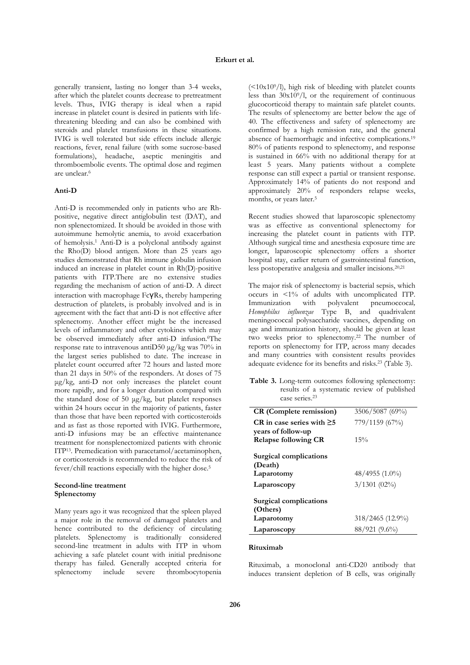generally transient, lasting no longer than 3-4 weeks, after which the platelet counts decrease to pretreatment levels. Thus, IVIG therapy is ideal when a rapid increase in platelet count is desired in patients with lifethreatening bleeding and can also be combined with steroids and platelet transfusions in these situations. IVIG is well tolerated but side effects include allergic reactions, fever, renal failure (with some sucrose-based formulations), headache, aseptic meningitis and thromboembolic events. The optimal dose and regimen are unclear.6

# **Anti-D**

Anti-D is recommended only in patients who are Rhpositive, negative direct antiglobulin test (DAT), and non splenectomized. It should be avoided in those with autoimmune hemolytic anemia, to avoid exacerbation of hemolysis.1 Anti-D is a polyclonal antibody against the Rho(D) blood antigen. More than 25 years ago studies demonstrated that Rh immune globulin infusion induced an increase in platelet count in Rh(D)-positive patients with ITP.There are no extensive studies regarding the mechanism of action of anti-D. A direct interaction with macrophage FcγRs, thereby hampering destruction of platelets, is probably involved and is in agreement with the fact that anti-D is not effective after splenectomy. Another effect might be the increased levels of inflammatory and other cytokines which may be observed immediately after anti-D infusion.<sup>6</sup>The response rate to intravenous antiD50 μg/kg was 70% in the largest series published to date. The increase in platelet count occurred after 72 hours and lasted more than 21 days in 50% of the responders. At doses of 75 μg/kg, anti-D not only increases the platelet count more rapidly, and for a longer duration compared with the standard dose of 50 μg/kg, but platelet responses within 24 hours occur in the majority of patients, faster than those that have been reported with corticosteroids and as fast as those reported with IVIG. Furthermore, anti-D infusions may be an effective maintenance treatment for nonsplenectomized patients with chronic ITP13. Premedication with paracetamol/acetaminophen, or corticosteroids is recommended to reduce the risk of fever/chill reactions especially with the higher dose.5

## **Second-line treatment Splenectomy**

Many years ago it was recognized that the spleen played a major role in the removal of damaged platelets and hence contributed to the deficiency of circulating platelets. Splenectomy is traditionally considered second-line treatment in adults with ITP in whom achieving a safe platelet count with initial prednisone therapy has failed. Generally accepted criteria for splenectomy include severe thrombocytopenia

 $\frac{(-10x10^{9}}{l})$ , high risk of bleeding with platelet counts less than  $30x10^9/1$ , or the requirement of continuous glucocorticoid therapy to maintain safe platelet counts. The results of splenectomy are better below the age of 40. The effectiveness and safety of splenectomy are confirmed by a high remission rate, and the general absence of haemorrhagic and infective complications.19 80% of patients respond to splenectomy, and response is sustained in 66% with no additional therapy for at least 5 years. Many patients without a complete response can still expect a partial or transient response. Approximately 14% of patients do not respond and approximately 20% of responders relapse weeks, months, or years later.<sup>5</sup>

Recent studies showed that laparoscopic splenectomy was as effective as conventional splenectomy for increasing the platelet count in patients with ITP. Although surgical time and anesthesia exposure time are longer, laparoscopic splenectomy offers a shorter hospital stay, earlier return of gastrointestinal function, less postoperative analgesia and smaller incisions.20,21

The major risk of splenectomy is bacterial sepsis, which occurs in <1% of adults with uncomplicated ITP. Immunization with polyvalent pneumoccocal*, Hemophilus influenzae* Type B, and quadrivalent meningococcal polysaccharide vaccines, depending on age and immunization history, should be given at least two weeks prior to splenectomy.22 The number of reports on splenectomy for ITP, across many decades and many countries with consistent results provides adequate evidence for its benefits and risks.23 (Table 3).

**Table 3.** Long-term outcomes following splenectomy: results of a systematic review of published case series.23

| <b>CR</b> (Complete remission)     | 3506/5087 (69%)  |
|------------------------------------|------------------|
| CR in case series with $\geq 5$    | 779/1159 (67%)   |
| years of follow-up                 |                  |
| <b>Relapse following CR</b>        | 15%              |
| Surgical complications<br>(Death)  |                  |
| Laparotomy                         | 48/4955 (1.0%)   |
| Laparoscopy                        | $3/1301$ (02%)   |
| Surgical complications<br>(Others) |                  |
| Laparotomy                         | 318/2465 (12.9%) |
| Laparoscopy                        | 88/921 (9.6%)    |

# **Rituximab**

Rituximab, a monoclonal anti-CD20 antibody that induces transient depletion of B cells, was originally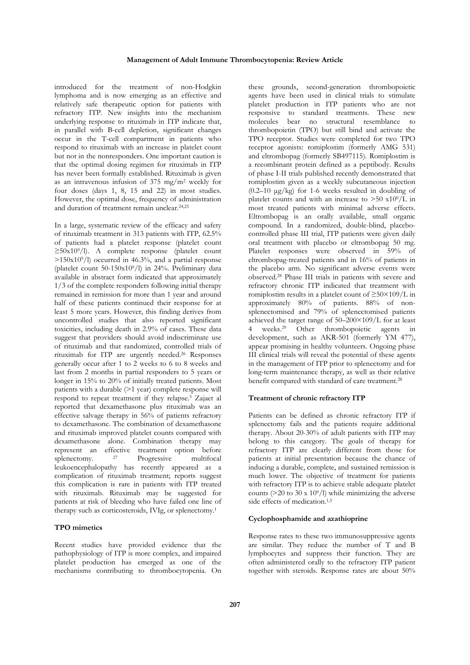introduced for the treatment of non-Hodgkin lymphoma and is now emerging as an effective and relatively safe therapeutic option for patients with refractory ITP. New insights into the mechanism underlying response to rituximab in ITP indicate that, in parallel with B-cell depletion, significant changes occur in the T-cell compartment in patients who respond to rituximab with an increase in platelet count but not in the nonresponders. One important caution is that the optimal dosing regimen for rituximab in ITP has never been formally established. Rituximab is given as an intravenous infusion of 375 mg/m2 weekly for four doses (days 1, 8, 15 and 22) in most studies. However, the optimal dose, frequency of administration and duration of treatment remain unclear.24,25

In a large, systematic review of the efficacy and safety of rituximab treatment in 313 patients with ITP, 62.5% of patients had a platelet response (platelet count ≥50x109/l). A complete response (platelet count  $>150x10<sup>9</sup>/l$ ) occurred in 46.3%, and a partial response (platelet count 50-150x109/l) in 24%. Preliminary data available in abstract form indicated that approximately 1/3 of the complete responders following initial therapy remained in remission for more than 1 year and around half of these patients continued their response for at least 5 more years. However, this finding derives from uncontrolled studies that also reported significant toxicities, including death in 2.9% of cases. These data suggest that providers should avoid indiscriminate use of rituximab and that randomized, controlled trials of rituximab for ITP are urgently needed.26 Responses generally occur after 1 to 2 weeks to 6 to 8 weeks and last from 2 months in partial responders to 5 years or longer in 15% to 20% of initially treated patients. Most patients with a durable (>1 year) complete response will respond to repeat treatment if they relapse.5 Zajaet al reported that dexamethasone plus rituximab was an effective salvage therapy in 56% of patients refractory to dexamethasone. The combination of dexamethasone and rituximab improved platelet counts compared with dexamethasone alone. Combination therapy may represent an effective treatment option before splenectomy. <sup>27</sup> Progressive multifocal leukoencephalopathy has recently appeared as a complication of rituximab treatment; reports suggest this complication is rare in patients with ITP treated with rituximab. Rituximab may be suggested for patients at risk of bleeding who have failed one line of therapy such as corticosteroids, IVIg, or splenectomy.1

## **TPO mimetics**

Recent studies have provided evidence that the pathophysiology of ITP is more complex, and impaired platelet production has emerged as one of the mechanisms contributing to thrombocytopenia. On

these grounds, second-generation thrombopoietic agents have been used in clinical trials to stimulate platelet production in ITP patients who are not responsive to standard treatments. These new molecules bear no structural resemblance to thrombopoietin (TPO) but still bind and activate the TPO receptor. Studies were completed for two TPO receptor agonists: romiplostim (formerly AMG 531) and eltrombopag (formerly SB497115). Romiplostim is a recombinant protein defined as a peptibody. Results of phase I-II trials published recently demonstrated that romiplostim given as a weekly subcutaneous injection  $(0.2-10 \text{ kg/kg})$  for 1-6 weeks resulted in doubling of platelet counts and with an increase to  $> 50 \times 10^9/\text{L}$  in most treated patients with minimal adverse effects. Eltrombopag is an orally available, small organic compound. In a randomized, double-blind, placebocontrolled phase III trial, ITP patients were given daily oral treatment with placebo or eltrombopag 50 mg. Platelet responses were observed in 59% of eltrombopag-treated patients and in 16% of patients in the placebo arm. No significant adverse events were observed.28 Phase III trials in patients with severe and refractory chronic ITP indicated that treatment with romiplostim results in a platelet count of  $\geq 50 \times 109$ /L in approximately 80% of patients. 88% of nonsplenectomised and 79% of splenectomised patients achieved the target range of 50–200×109/L for at least 4 weeks.29 Other thrombopoietic agents in development, such as AKR-501 (formerly YM 477), appear promising in healthy volunteers. Ongoing phase III clinical trials will reveal the potential of these agents in the management of ITP prior to splenectomy and for long-term maintenance therapy, as well as their relative benefit compared with standard of care treatment.<sup>28</sup>

### **Treatment of chronic refractory ITP**

Patients can be defined as chronic refractory ITP if splenectomy fails and the patients require additional therapy. About 20-30% of adult patients with ITP may belong to this category. The goals of therapy for refractory ITP are clearly different from those for patients at initial presentation because the chance of inducing a durable, complete, and sustained remission is much lower. The objective of treatment for patients with refractory ITP is to achieve stable adequate platelet counts ( $>$ 20 to 30 x 10<sup>9</sup>/l) while minimizing the adverse side effects of medication.<sup>1,5</sup>

# **Cyclophosphamide and azathioprine**

Response rates to these two immunosuppressive agents are similar. They reduce the number of T and B lymphocytes and suppress their function. They are often administered orally to the refractory ITP patient together with steroids. Response rates are about 50%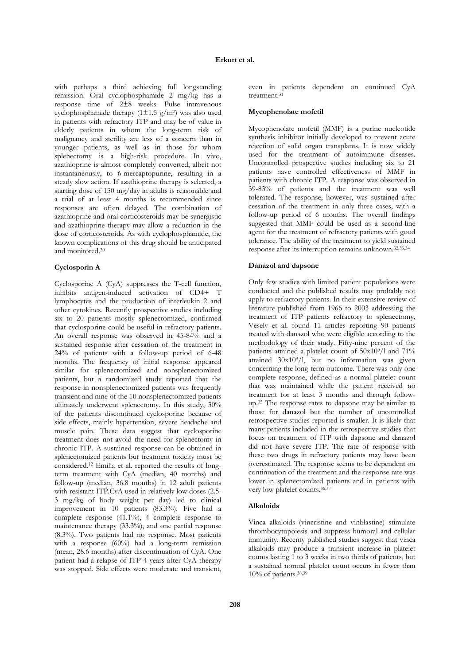with perhaps a third achieving full longstanding remission. Oral cyclophosphamide 2 mg/kg has a response time of 2±8 weeks. Pulse intravenous cyclophosphamide therapy  $(1\pm 1.5 \text{ g/m}^2)$  was also used in patients with refractory ITP and may be of value in elderly patients in whom the long-term risk of malignancy and sterility are less of a concern than in younger patients, as well as in those for whom splenectomy is a high-risk procedure. In vivo, azathioprine is almost completely converted, albeit not instantaneously, to 6-mercaptopurine, resulting in a steady slow action. If azathioprine therapy is selected, a starting dose of 150 mg/day in adults is reasonable and a trial of at least 4 months is recommended since responses are often delayed. The combination of azathioprine and oral corticosteroids may be synergistic and azathioprine therapy may allow a reduction in the dose of corticosteroids. As with cyclophosphamide, the known complications of this drug should be anticipated and monitored.30

### **Cyclosporin A**

Cyclosporine A (CyA) suppresses the T-cell function, inhibits antigen-induced activation of CD4+ T lymphocytes and the production of interleukin 2 and other cytokines. Recently prospective studies including six to 20 patients mostly splenectomized, confirmed that cyclosporine could be useful in refractory patients. An overall response was observed in 45-84% and a sustained response after cessation of the treatment in 24% of patients with a follow-up period of 6-48 months. The frequency of initial response appeared similar for splenectomized and nonsplenectomized patients, but a randomized study reported that the response in nonsplenectomized patients was frequently transient and nine of the 10 nonsplenectomized patients ultimately underwent splenectomy. In this study, 30% of the patients discontinued cyclosporine because of side effects, mainly hypertension, severe headache and muscle pain. These data suggest that cyclosporine treatment does not avoid the need for splenectomy in chronic ITP. A sustained response can be obtained in splenectomized patients but treatment toxicity must be considered.12 Emilia et al. reported the results of longterm treatment with CyA (median, 40 months) and follow-up (median, 36.8 months) in 12 adult patients with resistant ITP.CyA used in relatively low doses (2.5- 3 mg/kg of body weight per day) led to clinical improvement in 10 patients (83.3%). Five had a complete response  $(41.1\%)$ , 4 complete response to maintenance therapy (33.3%), and one partial response (8.3%). Two patients had no response. Most patients with a response (60%) had a long-term remission (mean, 28.6 months) after discontinuation of CyA. One patient had a relapse of ITP 4 years after CyA therapy was stopped. Side effects were moderate and transient,

even in patients dependent on continued CyA treatment.31

#### **Mycophenolate mofetil**

Mycophenolate mofetil (MMF) is a purine nucleotide synthesis inhibitor initially developed to prevent acute rejection of solid organ transplants. It is now widely used for the treatment of autoimmune diseases. Uncontrolled prospective studies including six to 21 patients have controlled effectiveness of MMF in patients with chronic ITP. A response was observed in 39-83% of patients and the treatment was well tolerated. The response, however, was sustained after cessation of the treatment in only three cases, with a follow-up period of 6 months. The overall findings suggested that MMF could be used as a second-line agent for the treatment of refractory patients with good tolerance. The ability of the treatment to yield sustained response after its interruption remains unknown.32,33,34

## **Danazol and dapsone**

Only few studies with limited patient populations were conducted and the published results may probably not apply to refractory patients. In their extensive review of literature published from 1966 to 2003 addressing the treatment of ITP patients refractory to splenectomy, Vesely et al. found 11 articles reporting 90 patients treated with danazol who were eligible according to the methodology of their study. Fifty-nine percent of the patients attained a platelet count of 50x109/l and 71% attained  $30x10<sup>9</sup>/l$ , but no information was given concerning the long-term outcome. There was only one complete response, defined as a normal platelet count that was maintained while the patient received no treatment for at least 3 months and through followup.35 The response rates to dapsone may be similar to those for danazol but the number of uncontrolled retrospective studies reported is smaller. It is likely that many patients included in the retrospective studies that focus on treatment of ITP with dapsone and danazol did not have severe ITP. The rate of response with these two drugs in refractory patients may have been overestimated. The response seems to be dependent on continuation of the treatment and the response rate was lower in splenectomized patients and in patients with very low platelet counts.36,37

#### **Alkoloids**

Vinca alkaloids (vincristine and vinblastine) stimulate thrombocytopoiesis and suppress humoral and cellular immunity. Recenty published studies suggest that vinca alkaloids may produce a transient increase in platelet counts lasting 1 to 3 weeks in two thirds of patients, but a sustained normal platelet count occurs in fewer than  $10\%$  of patients.<sup>38,39</sup>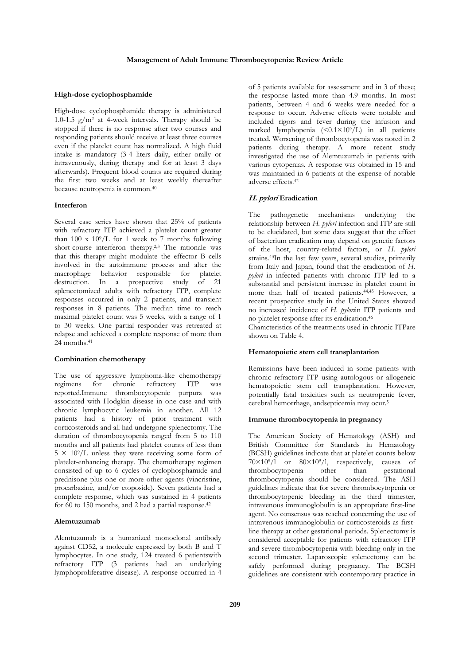#### **High-dose cyclophosphamide**

High-dose cyclophosphamide therapy is administered 1.0-1.5  $g/m^2$  at 4-week intervals. Therapy should be stopped if there is no response after two courses and responding patients should receive at least three courses even if the platelet count has normalized. A high fluid intake is mandatory (3-4 liters daily, either orally or intravenously, during therapy and for at least 3 days afterwards). Frequent blood counts are required during the first two weeks and at least weekly thereafter because neutropenia is common.40

#### **Interferon**

Several case series have shown that 25% of patients with refractory ITP achieved a platelet count greater than 100 x  $10^9$ /L for 1 week to 7 months following short-course interferon therapy.<sup>2,3</sup> The rationale was that this therapy might modulate the effector B cells involved in the autoimmune process and alter the macrophage behavior responsible for platelet destruction. In a prospective study of 21 splenectomized adults with refractory ITP, complete responses occurred in only 2 patients, and transient responses in 8 patients. The median time to reach maximal platelet count was 5 weeks, with a range of 1 to 30 weeks. One partial responder was retreated at relapse and achieved a complete response of more than 24 months.<sup>41</sup>

#### **Combination chemotherapy**

The use of aggressive lymphoma-like chemotherapy regimens for chronic refractory ITP was reported.Immune thrombocytopenic purpura was associated with Hodgkin disease in one case and with chronic lymphocytic leukemia in another. All 12 patients had a history of prior treatment with corticosteroids and all had undergone splenectomy. The duration of thrombocytopenia ranged from 5 to 110 months and all patients had platelet counts of less than  $5 \times 10^9$ /L unless they were receiving some form of platelet-enhancing therapy. The chemotherapy regimen consisted of up to 6 cycles of cyclophosphamide and prednisone plus one or more other agents (vincristine, procarbazine, and/or etoposide). Seven patients had a complete response, which was sustained in 4 patients for 60 to 150 months, and 2 had a partial response.42

## **Alemtuzumab**

Alemtuzumab is a humanized monoclonal antibody against CD52, a molecule expressed by both B and T lymphocytes. In one study, 124 treated 6 patientswith refractory ITP (3 patients had an underlying lymphoproliferative disease). A response occurred in 4 of 5 patients available for assessment and in 3 of these; the response lasted more than 4.9 months. In most patients, between 4 and 6 weeks were needed for a response to occur. Adverse effects were notable and included rigors and fever during the infusion and marked lymphopenia  $(\leq 0.1 \times 10^9)$  in all patients treated. Worsening of thrombocytopenia was noted in 2 patients during therapy. A more recent study investigated the use of Alemtuzumab in patients with various cytopenias. A response was obtained in 15 and was maintained in 6 patients at the expense of notable adverse effects.42

# **H. pylori Eradication**

The pathogenetic mechanisms underlying the relationship between *H. pylori* infection and ITP are still to be elucidated, but some data suggest that the effect of bacterium eradication may depend on genetic factors of the host, country-related factors, or *H. pylori* strains.43In the last few years, several studies, primarily from Italy and Japan, found that the eradication of *H. pylori* in infected patients with chronic ITP led to a substantial and persistent increase in platelet count in more than half of treated patients.<sup>44,45</sup> However, a recent prospective study in the United States showed no increased incidence of *H. pylori*in ITP patients and no platelet response after its eradication.46

Characteristics of the treatments used in chronic ITPare shown on Table 4.

## **Hematopoietic stem cell transplantation**

Remissions have been induced in some patients with chronic refractory ITP using autologous or allogeneic hematopoietic stem cell transplantation. However, potentially fatal toxicities such as neutropenic fever, cerebral hemorrhage, andsepticemia may ocur.5

## **Immune thrombocytopenia in pregnancy**

The American Society of Hematology (ASH) and British Committee for Standards in Hematology (BCSH) guidelines indicate that at platelet counts below  $70\times10^{9}/1$  or  $80\times10^{9}/1$ , respectively, causes of thrombocytopenia other than gestational thrombocytopenia other than thrombocytopenia should be considered. The ASH guidelines indicate that for severe thrombocytopenia or thrombocytopenic bleeding in the third trimester, intravenous immunoglobulin is an appropriate first-line agent. No consensus was reached concerning the use of intravenous immunoglobulin or corticosteroids as firstline therapy at other gestational periods. Splenectomy is considered acceptable for patients with refractory ITP and severe thrombocytopenia with bleeding only in the second trimester. Laparoscopic splenectomy can be safely performed during pregnancy. The BCSH guidelines are consistent with contemporary practice in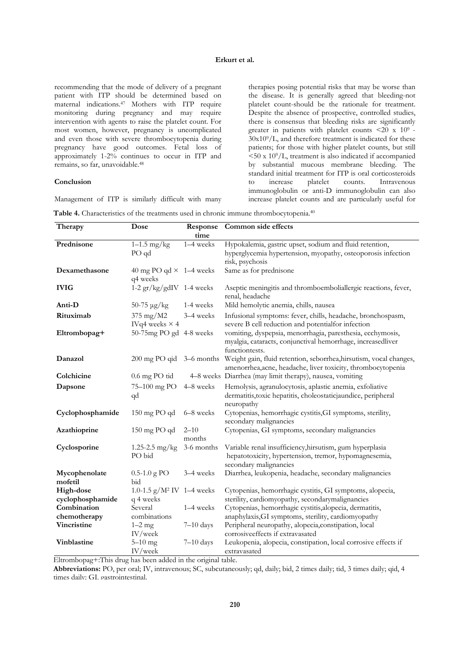recommending that the mode of delivery of a pregnant patient with ITP should be determined based on maternal indications.47 Mothers with ITP require monitoring during pregnancy and may require intervention with agents to raise the platelet count. For most women, however, pregnancy is uncomplicated and even those with severe thrombocytopenia during pregnancy have good outcomes. Fetal loss of approximately 1-2% continues to occur in ITP and remains, so far, unavoidable.48

# **Conclusion**

Management of ITP is similarly difficult with many

therapies posing potential risks that may be worse than the disease. It is generally agreed that bleeding-not platelet count-should be the rationale for treatment. Despite the absence of prospective, controlled studies, there is consensus that bleeding risks are significantly greater in patients with platelet counts  $\langle 20 \times 10^9 \rangle$  $30x10<sup>9</sup>/L$ , and therefore treatment is indicated for these patients; for those with higher platelet counts, but still  $<$  50 x 10<sup>9</sup>/L, treatment is also indicated if accompanied by substantial mucous membrane bleeding. The standard initial treatment for ITP is oral corticosteroids<br>to increase platelet counts. Intravenous to increase platelet counts. Intravenous immunoglobulin or anti-D immunoglobulin can also increase platelet counts and are particularly useful for

|  |  |  |  |  |  | Table 4. Characteristics of the treatments used in chronic immune thrombocytopenia. <sup>40</sup> |  |
|--|--|--|--|--|--|---------------------------------------------------------------------------------------------------|--|
|--|--|--|--|--|--|---------------------------------------------------------------------------------------------------|--|

| Therapy                       | Dose                                       | time               | Response Common side effects                                                                                                                                |
|-------------------------------|--------------------------------------------|--------------------|-------------------------------------------------------------------------------------------------------------------------------------------------------------|
| Prednisone                    | $1-1.5$ mg/kg<br>PO qd                     | 1-4 weeks          | Hypokalemia, gastric upset, sodium and fluid retention,<br>hyperglycemia hypertension, myopathy, osteoporosis infection<br>risk, psychosis                  |
| Dexamethasone                 | 40 mg PO qd $\times$ 1-4 weeks<br>q4 weeks |                    | Same as for prednisone                                                                                                                                      |
| <b>IVIG</b>                   | $1-2$ gr/kg/gdIV 1-4 weeks                 |                    | Aseptic meningitis and thromboemboliallergic reactions, fever,<br>renal, headache                                                                           |
| Anti-D                        | $50-75 \mu g/kg$                           | 1-4 weeks          | Mild hemolytic anemia, chills, nausea                                                                                                                       |
| Rituximab                     | 375 mg/M2<br>IVq4 weeks $\times$ 4         | 3–4 weeks          | Infusional symptoms: fever, chills, headache, bronchospasm,<br>severe B cell reduction and potentialfor infection                                           |
| Eltrombopag+                  | 50-75mg PO gd 4-8 weeks                    |                    | vomiting, dyspepsia, menorrhagia, paresthesia, ecchymosis,<br>myalgia, cataracts, conjunctival hemorrhage, increasedliver<br>functiontests.                 |
| Danazol                       |                                            |                    | 200 mg PO qid 3-6 months Weight gain, fluid retention, seborrhea, hirsutism, vocal changes,<br>amenorrhea, acne, headache, liver toxicity, thrombocytopenia |
| Colchicine                    | $0.6$ mg PO tid                            |                    | 4–8 weeks Diarrhea (may limit therapy), nausea, vomiting                                                                                                    |
| Dapsone                       | 75-100 mg PO<br>qd                         | 4–8 weeks          | Hemolysis, agranulocytosis, aplastic anemia, exfoliative<br>dermatitis, toxic hepatitis, choleostaticjaundice, peripheral<br>neuropathy                     |
| Cyclophosphamide              | 150 mg PO qd                               | 6-8 weeks          | Cytopenias, hemorrhagic cystitis, GI symptoms, sterility,<br>secondary malignancies                                                                         |
| Azathioprine                  | 150 mg PO qd                               | $2 - 10$<br>months | Cytopenias, GI symptoms, secondary malignancies                                                                                                             |
| Cyclosporine                  | 1.25-2.5 $mg/kg$<br>PO bid                 | 3-6 months         | Variable renal insufficiency, hirsutism, gum hyperplasia<br>hepatotoxicity, hypertension, tremor, hypomagnesemia,<br>secondary malignancies                 |
| Mycophenolate<br>mofetil      | $0.5 - 1.0$ g PO<br>bid                    | 3–4 weeks          | Diarrhea, leukopenia, headache, secondary malignancies                                                                                                      |
| High-dose<br>cyclophosphamide | 1.0-1.5 $g/M^2$ IV 1–4 weeks<br>q 4 weeks  |                    | Cytopenias, hemorrhagic cystitis, GI symptoms, alopecia,<br>sterility, cardiomyopathy, secondarymalignancies                                                |
| Combination                   | Several                                    | 1-4 weeks          | Cytopenias, hemorrhagic cystitis, alopecia, dermatitis,                                                                                                     |
| chemotherapy                  | combinations                               |                    | anaphylaxis, GI symptoms, sterility, cardiomyopathy                                                                                                         |
| Vincristine                   | $1-2$ mg<br>IV/week                        | $7-10$ days        | Peripheral neuropathy, alopecia, constipation, local<br>corrosiveeffects if extravasated                                                                    |
| Vinblastine                   | $5-10$ mg<br>IV/week                       | $7-10$ days        | Leukopenia, alopecia, constipation, local corrosive effects if<br>extravasated                                                                              |

Eltrombopag+:This drug has been added in the original table.

**Abbreviations:** PO, per oral; IV, intravenous; SC, subcutaneously; qd, daily; bid, 2 times daily; tid, 3 times daily; qid, 4 times daily: GI, gastrointestinal.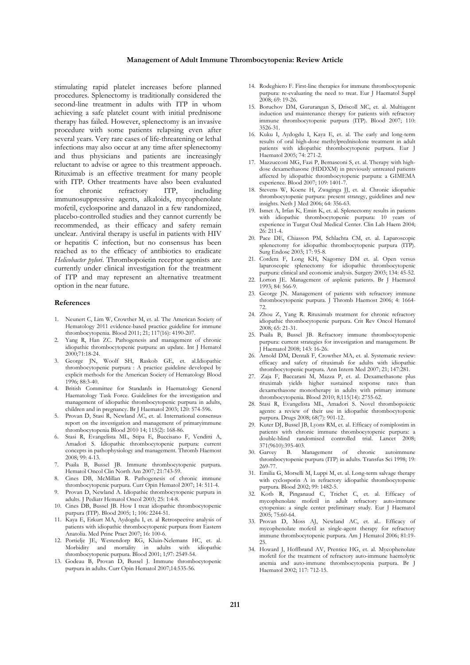#### **Management of Adult Immune Thrombocytopenia: Review Article**

stimulating rapid platelet increases before planned procedures. Splenectomy is traditionally considered the second-line treatment in adults with ITP in whom achieving a safe platelet count with initial prednisone therapy has failed. However, splenectomy is an invasive procedure with some patients relapsing even after several years. Very rare cases of life-threatening or lethal infections may also occur at any time after splenectomy and thus physicians and patients are increasingly reluctant to advise or agree to this treatment approach. Rituximab is an effective treatment for many people with ITP. Other treatments have also been evaluated for chronic refractory ITP, including immunosuppressive agents, alkaloids, mycophenolate mofetil, cyclosporine and danazol in a few randomized, placebo-controlled studies and they cannot currently be recommended, as their efficacy and safety remain unclear. Antiviral therapy is useful in patients with HIV or hepatitis C infection, but no consensus has been reached as to the efficacy of antibiotics to eradicate *Helicobacter pylori*. Thrombopoietin receptor agonists are currently under clinical investigation for the treatment of ITP and may represent an alternative treatment option in the near future.

#### **References**

- 1. Neunert C, Lim W, Crowther M, et. al. The American Society of Hematology 2011 evidence-based practice guideline for immune thrombocytopenia. Blood 2011; 21; 117(16): 4190-207.
- Yang R, Han ZC. Pathogenesis and management of chronic idiopathic thrombocytopenic purpura: an update. Int J Hematol 2000;71:18-24.
- 3. George JN, Woolf SH, Raskob GE, et. al.Idiopathic thrombocytopenic purpura : A practice guideline developed by explicit methods for the American Society of Hematology Blood 1996; 88:3-40.
- 4. British Committee for Standards in Haematology General Haematology Task Force. Guidelines for the investigation and management of idiopathic thrombocytopenic purpura in adults, children and in pregnancy. Br J Haematol 2003; 120: 574-596.
- 5. Provan D, Stasi R, Newland AC, et. al. International consensus report on the investigation and management of primaryimmune thrombocytopenia Blood 2010 14; 115(2): 168-86.
- 6. Stasi R, Evangelista ML, Stipa E, Buccisano F, Venditti A, Amadori S. Idiopathic thrombocytopenic purpura: current concepts in pathophysiology and management. Thromb Haemost 2008; 99: 4-13.
- Psaila B, Bussel JB. Immune thrombocytopenic purpura. Hematol Oncol Clin North Am 2007; 21:743-59.
- 8. Cines DB, McMillan R. Pathogenesis of chronic immune thrombocytopenic purpura. Curr Opin Hematol 2007; 14: 511-4.
- Provan D, Newland A. Idiopathic thrombocytopenic purpura in adults. J Pediatr Hematol Oncol 2003; 25: 1:4-8.
- 10. Cines DB, Bussel JB. How I treat idiopathic thrombocytopenic purpura (ITP). Blood 2005; 1; 106: 2244-51.
- 11. Kaya E, Erkurt MA, Aydogdu I, et. al Retrospective analysis of patients with idiopathic thrombocytopenic purpura from Eastern Anatolia. Med Princ Pract 2007; 16: 100-6.
- 12. Portielje JE, Westendorp RG, Kluin-Nelemans HC, et. al. Morbidity and mortality in adults with idiopathic thrombocytopenic purpura. Blood 2001; 1;97: 2549-54.
- 13. Godeau B, Provan D, Bussel J. Immune thrombocytopenic purpura in adults. Curr Opin Hematol 2007;14:535-56.
- 14. Rodeghiero F. First-line therapies for immune thrombocytopenic purpura: re-evaluating the need to treat. Eur J Haematol Suppl 2008; 69: 19-26.
- 15. Boruchov DM, Gururangan S, Driscoll MC, et. al. Multiagent induction and maintenance therapy for patients with refractory immune thrombocytopenic purpura (ITP). Blood 2007; 110: 3526-31.
- 16. Kuku I, Aydogdu I, Kaya E, et. al. The early and long-term results of oral high-dose methylprednisolone treatment in adult patients with idiopathic thrombocytopenic purpura. Eur J .<br>Haematol 2005: 74: 271-2
- 17. Mazzucconi MG, Fazi P, Bernasconi S, et. al. Therapy with highdose dexamethasone (HDDXM) in previously untreated patients affected by idiopathic thrombocytopenic purpura: a GIMEMA experience. Blood 2007; 109: 1401-7.
- 18. Stevens W, Koene H, Zwaginga JJ, et. al. Chronic idiopathic thrombocytopenic purpura: present strategy, guidelines and new insights. Neth J Med 2006; 64: 356-63.
- 19. Ismet A, Irfan K, Emin K, et. al. Splenectomy results in patients with idiopathic thrombocytopenic purpura: 10 years of experience in Turgut Ozal Medical Center. Clin Lab Haem 2004;  $26.211 - 4$
- 20. Pace DE, Chiasson PM, Schlachta CM, et. al. Laparoscopic splenectomy for idiopathic thrombocytopenic purpura (ITP). Surg Endosc 2003; 17: 95-8.
- 21. Cordera F, Long KH, Nagorney DM et. al. Open versus laparoscopic splenectomy for idiopathic thrombocytopenic purpura: clinical and economic analysis. Surgery 2003; 134: 45-52.
- 22. Lorton JE. Management of asplenic patients. Br J Haematol 1993; 84: 566-9.
- 23. George JN. Management of patients with refractory immune thrombocytopenic purpura. J Thromb Haemost 2006; 4: 1664- 72.
- 24. Zhou Z, Yang R. Rituximab treatment for chronic refractory idiopathic thrombocytopenic purpura. Crit Rev Oncol Hematol 2008; 65: 21-31.
- 25. Psaila B, Bussel JB. Refractory immune thrombocytopenic purpura: current strategies for investigation and management. Br J Haematol 2008; 143: 16-26.
- 26. Arnold DM, Dentali F, Crowther MA, et. al. Systematic review: efficacy and safety of rituximab for adults with idiopathic thrombocytopenic purpura. Ann Intern Med 2007; 21; 147:281.
- 27. Zaja F, Baccarani M, Mazza P, et. al. Dexamethasone plus rituximab yields higher sustained response rates than dexamethasone monotherapy in adults with primary immune thrombocytopenia. Blood 2010; 8;115(14): 2755-62.
- 28. Stasi R, Evangelista ML, Amadori S. Novel thrombopoietic agents: a review of their use in idiopathic thrombocytopenic purpura. Drugs 2008; 68(7): 901-12.
- 29. Kuter DJ, Bussel JB, Lyons RM, et. al. Efficacy of romiplostim in patients with chronic immune thrombocytopenic purpura: a double-blind randomised controlled trial. Lancet 2008; 371(9610):395-403.<br>30. Garvey B. M
- B. Management of chronic autoimmune thrombocytopenic purpura (ITP) in adults. Transfus Sci 1998; 19: 269-77.
- 31. Emilia G, Morselli M, Luppi M, et. al. Long-term salvage therapy with cyclosporin A in refractory idiopathic thrombocytopenic purpura. Blood 2002; 99: 1482-5.
- 32. Kotb R, Pinganaud C, Trichet C, et. al. Efficacy of mycophenolate mofetil in adult refractory auto-immune cytopenias: a single center preliminary study. Eur J Haematol 2005; 75:60-64.
- 33. Provan D, Moss AJ, Newland AC, et. al.. Efficacy of mycophenolate mofetil as single-agent therapy for refractory immune thrombocytopenic purpura. Am J Hematol 2006; 81:19- 25.
- 34. Howard J, Hoffbrand AV, Prentice HG, et. al. Mycophenolate mofetil for the treatment of refractory auto-immune haemolytic anemia and auto-immune thrombocytopenia purpura. Br J Haematol 2002; 117: 712-15.